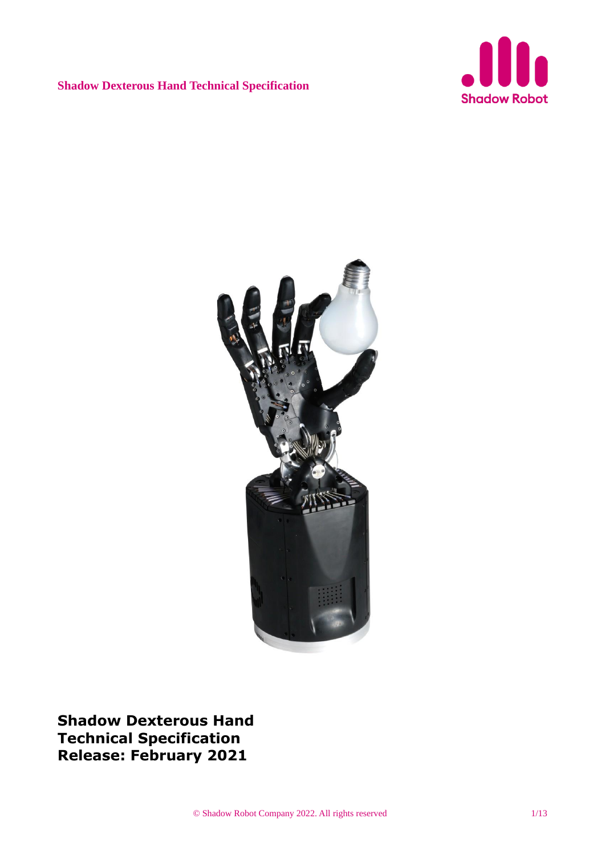



**Shadow Dexterous Hand Technical Specification Release: February 2021**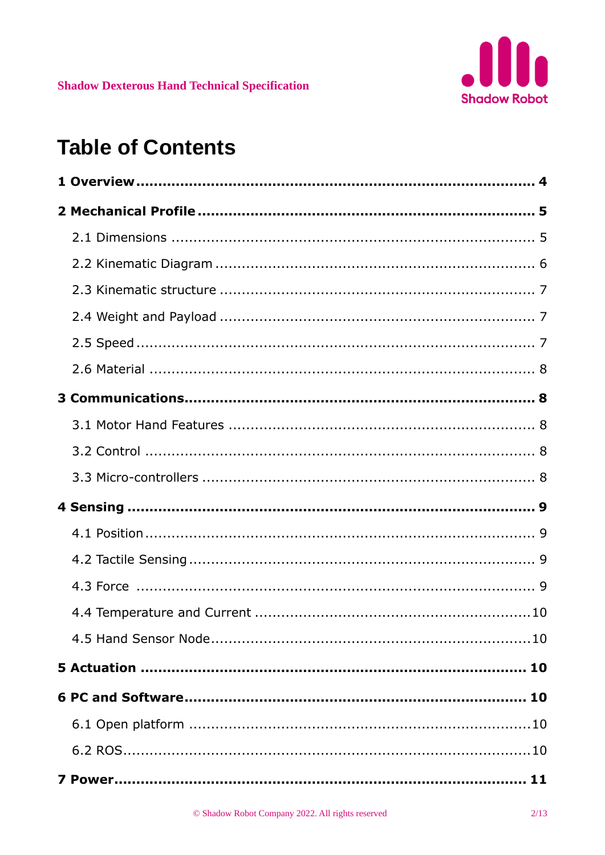# **Table of Contents**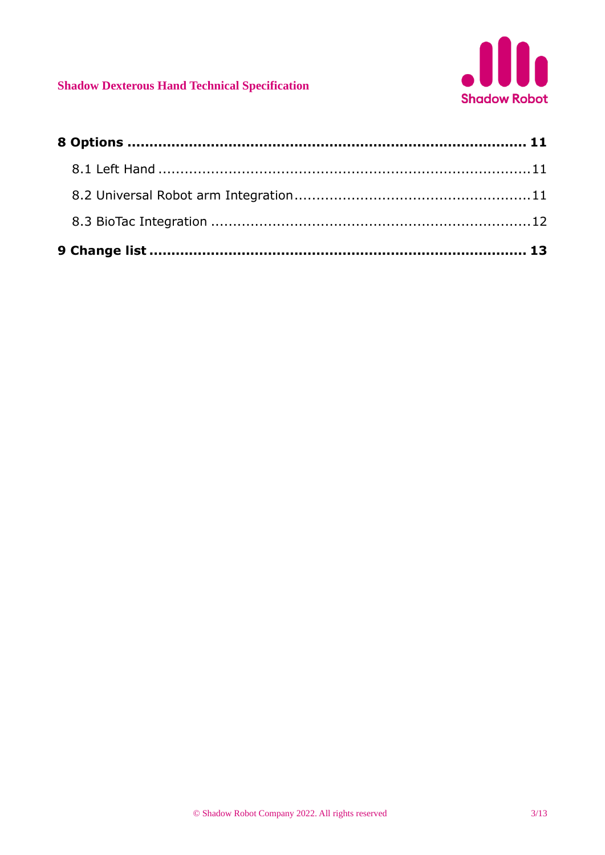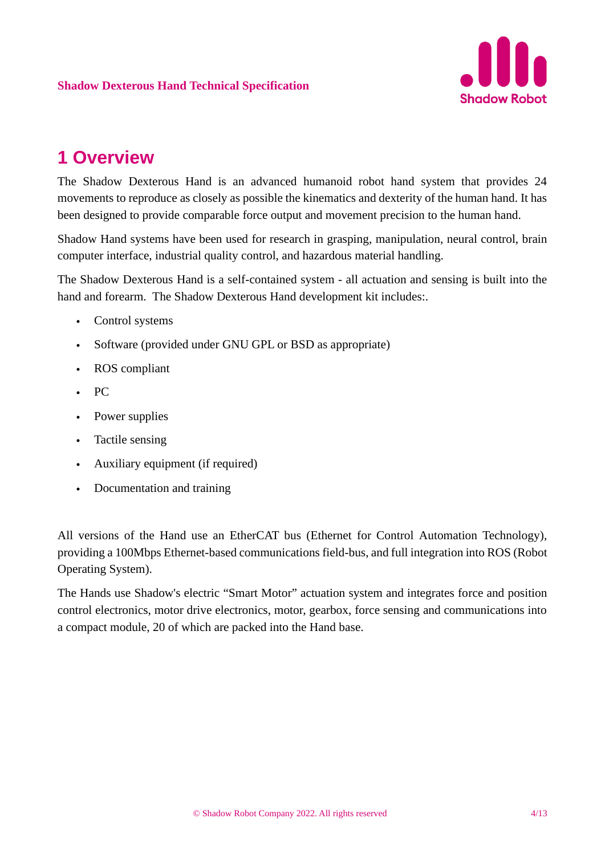

## **1 Overview**

The Shadow Dexterous Hand is an advanced humanoid robot hand system that provides 24 movements to reproduce as closely as possible the kinematics and dexterity of the human hand. It has been designed to provide comparable force output and movement precision to the human hand.

Shadow Hand systems have been used for research in grasping, manipulation, neural control, brain computer interface, industrial quality control, and hazardous material handling.

The Shadow Dexterous Hand is a self-contained system - all actuation and sensing is built into the hand and forearm. The Shadow Dexterous Hand development kit includes:.

- Control systems
- Software (provided under GNU GPL or BSD as appropriate)
- ROS compliant
- PC
- Power supplies
- Tactile sensing
- Auxiliary equipment (if required)
- Documentation and training

All versions of the Hand use an EtherCAT bus (Ethernet for Control Automation Technology), providing a 100Mbps Ethernet-based communications field-bus, and full integration into ROS (Robot Operating System).

The Hands use Shadow's electric "Smart Motor" actuation system and integrates force and position control electronics, motor drive electronics, motor, gearbox, force sensing and communications into a compact module, 20 of which are packed into the Hand base.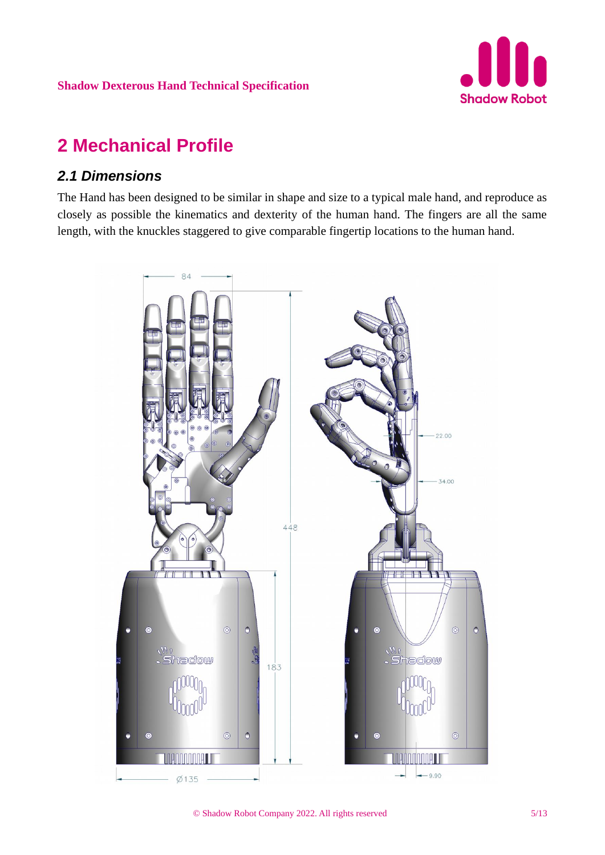

## **2 Mechanical Profile**

#### *2.1 Dimensions*

The Hand has been designed to be similar in shape and size to a typical male hand, and reproduce as closely as possible the kinematics and dexterity of the human hand. The fingers are all the same length, with the knuckles staggered to give comparable fingertip locations to the human hand.

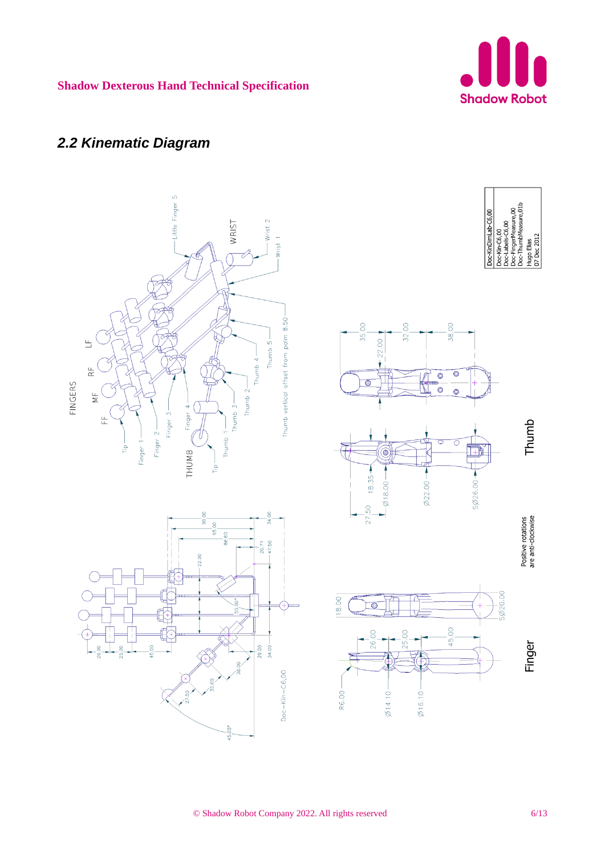

### *2.2 Kinematic Diagram*

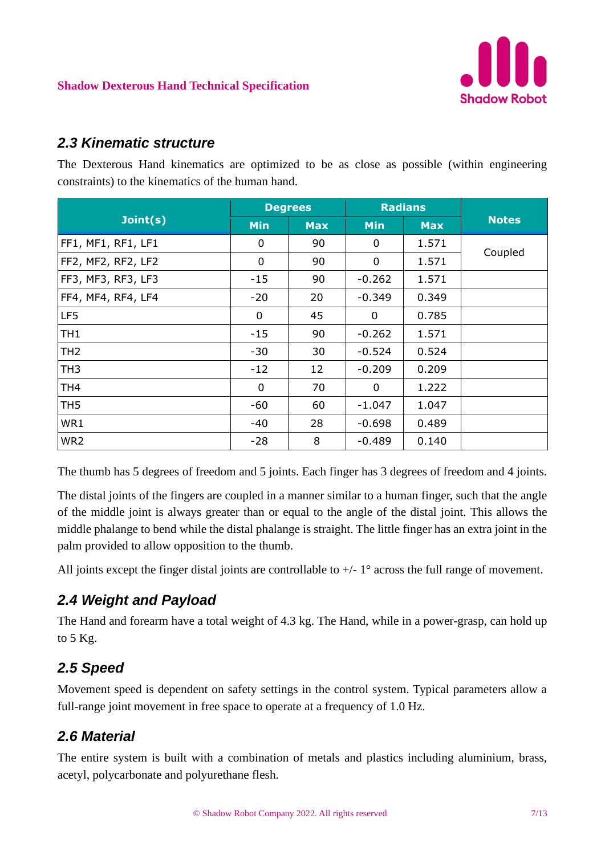

#### *2.3 Kinematic structure*

The Dexterous Hand kinematics are optimized to be as close as possible (within engineering constraints) to the kinematics of the human hand.

|                    | <b>Degrees</b> |            | <b>Radians</b> |            |              |
|--------------------|----------------|------------|----------------|------------|--------------|
| Joint(s)           | <b>Min</b>     | <b>Max</b> | <b>Min</b>     | <b>Max</b> | <b>Notes</b> |
| FF1, MF1, RF1, LF1 | 0              | 90         | 0              | 1.571      | Coupled      |
| FF2, MF2, RF2, LF2 | 0              | 90         | 0              | 1.571      |              |
| FF3, MF3, RF3, LF3 | $-15$          | 90         | $-0.262$       | 1.571      |              |
| FF4, MF4, RF4, LF4 | $-20$          | 20         | $-0.349$       | 0.349      |              |
| LF5                | $\mathbf 0$    | 45         | 0              | 0.785      |              |
| TH <sub>1</sub>    | $-15$          | 90         | $-0.262$       | 1.571      |              |
| TH <sub>2</sub>    | $-30$          | 30         | $-0.524$       | 0.524      |              |
| TH <sub>3</sub>    | $-12$          | 12         | $-0.209$       | 0.209      |              |
| TH <sub>4</sub>    | $\mathbf 0$    | 70         | 0              | 1.222      |              |
| TH <sub>5</sub>    | -60            | 60         | $-1.047$       | 1.047      |              |
| WR1                | -40            | 28         | $-0.698$       | 0.489      |              |
| WR <sub>2</sub>    | $-28$          | 8          | $-0.489$       | 0.140      |              |

The thumb has 5 degrees of freedom and 5 joints. Each finger has 3 degrees of freedom and 4 joints.

The distal joints of the fingers are coupled in a manner similar to a human finger, such that the angle of the middle joint is always greater than or equal to the angle of the distal joint. This allows the middle phalange to bend while the distal phalange is straight. The little finger has an extra joint in the palm provided to allow opposition to the thumb.

All joints except the finger distal joints are controllable to  $+/-1$ ° across the full range of movement.

### *2.4 Weight and Payload*

The Hand and forearm have a total weight of 4.3 kg. The Hand, while in a power-grasp, can hold up to 5 Kg.

### *2.5 Speed*

Movement speed is dependent on safety settings in the control system. Typical parameters allow a full-range joint movement in free space to operate at a frequency of 1.0 Hz.

### *2.6 Material*

The entire system is built with a combination of metals and plastics including aluminium, brass, acetyl, polycarbonate and polyurethane flesh.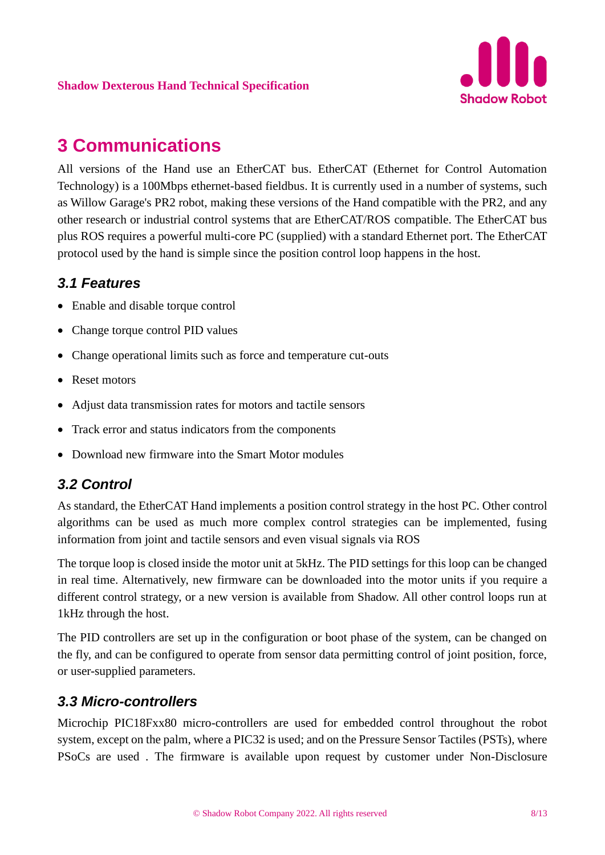## **3 Communications**

All versions of the Hand use an EtherCAT bus. EtherCAT (Ethernet for Control Automation Technology) is a 100Mbps ethernet-based fieldbus. It is currently used in a number of systems, such as Willow Garage's PR2 robot, making these versions of the Hand compatible with the PR2, and any other research or industrial control systems that are EtherCAT/ROS compatible. The EtherCAT bus plus ROS requires a powerful multi-core PC (supplied) with a standard Ethernet port. The EtherCAT protocol used by the hand is simple since the position control loop happens in the host.

#### *3.1 Features*

- Enable and disable torque control
- Change torque control PID values
- Change operational limits such as force and temperature cut-outs
- Reset motors
- Adjust data transmission rates for motors and tactile sensors
- Track error and status indicators from the components
- Download new firmware into the Smart Motor modules

### *3.2 Control*

As standard, the EtherCAT Hand implements a position control strategy in the host PC. Other control algorithms can be used as much more complex control strategies can be implemented, fusing information from joint and tactile sensors and even visual signals via ROS

The torque loop is closed inside the motor unit at 5kHz. The PID settings for this loop can be changed in real time. Alternatively, new firmware can be downloaded into the motor units if you require a different control strategy, or a new version is available from Shadow. All other control loops run at 1kHz through the host.

The PID controllers are set up in the configuration or boot phase of the system, can be changed on the fly, and can be configured to operate from sensor data permitting control of joint position, force, or user-supplied parameters.

#### *3.3 Micro-controllers*

Microchip PIC18Fxx80 micro-controllers are used for embedded control throughout the robot system, except on the palm, where a PIC32 is used; and on the Pressure Sensor Tactiles (PSTs), where PSoCs are used . The firmware is available upon request by customer under Non-Disclosure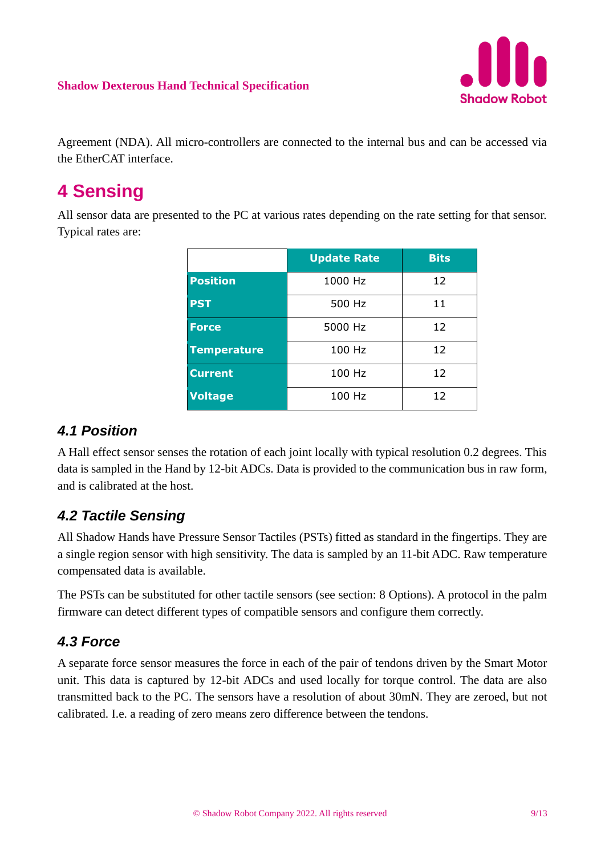

Agreement (NDA). All micro-controllers are connected to the internal bus and can be accessed via the EtherCAT interface.

## **4 Sensing**

All sensor data are presented to the PC at various rates depending on the rate setting for that sensor. Typical rates are:

|                    | <b>Update Rate</b> | <b>Bits</b> |
|--------------------|--------------------|-------------|
| <b>Position</b>    | 1000 Hz            | 12          |
| <b>PST</b>         | 500 Hz             | 11          |
| <b>Force</b>       | 5000 Hz            | 12          |
| <b>Temperature</b> | 100 Hz             | 12          |
| <b>Current</b>     | 100 Hz             | 12          |
| <b>Voltage</b>     | 100 Hz             | 12          |

### *4.1 Position*

A Hall effect sensor senses the rotation of each joint locally with typical resolution 0.2 degrees. This data is sampled in the Hand by 12-bit ADCs. Data is provided to the communication bus in raw form, and is calibrated at the host.

### *4.2 Tactile Sensing*

All Shadow Hands have Pressure Sensor Tactiles (PSTs) fitted as standard in the fingertips. They are a single region sensor with high sensitivity. The data is sampled by an 11-bit ADC. Raw temperature compensated data is available.

The PSTs can be substituted for other tactile sensors (see section: 8 Options). A protocol in the palm firmware can detect different types of compatible sensors and configure them correctly.

#### *4.3 Force*

A separate force sensor measures the force in each of the pair of tendons driven by the Smart Motor unit. This data is captured by 12-bit ADCs and used locally for torque control. The data are also transmitted back to the PC. The sensors have a resolution of about 30mN. They are zeroed, but not calibrated. I.e. a reading of zero means zero difference between the tendons.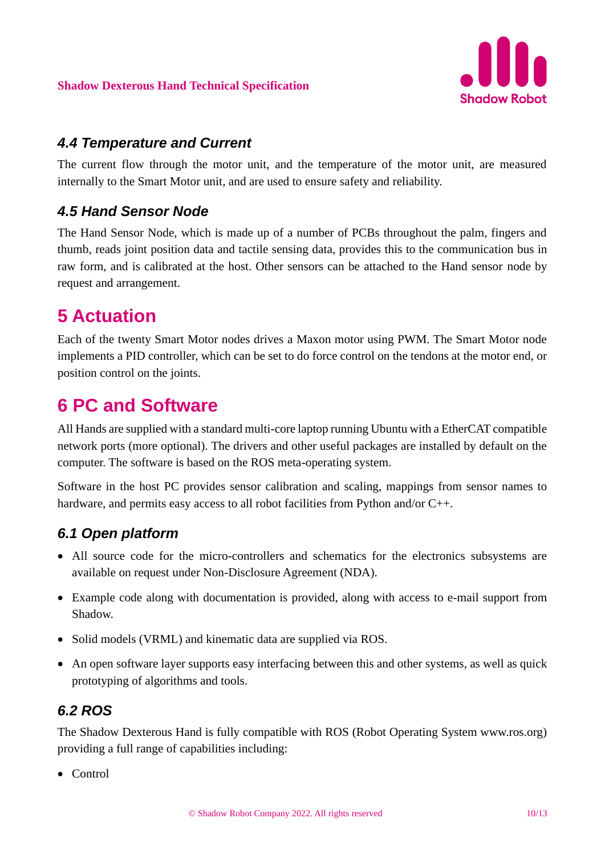

#### *4.4 Temperature and Current*

The current flow through the motor unit, and the temperature of the motor unit, are measured internally to the Smart Motor unit, and are used to ensure safety and reliability.

#### *4.5 Hand Sensor Node*

The Hand Sensor Node, which is made up of a number of PCBs throughout the palm, fingers and thumb, reads joint position data and tactile sensing data, provides this to the communication bus in raw form, and is calibrated at the host. Other sensors can be attached to the Hand sensor node by request and arrangement.

## **5 Actuation**

Each of the twenty Smart Motor nodes drives a Maxon motor using PWM. The Smart Motor node implements a PID controller, which can be set to do force control on the tendons at the motor end, or position control on the joints.

## **6 PC and Software**

All Hands are supplied with a standard multi-core laptop running Ubuntu with a EtherCAT compatible network ports (more optional). The drivers and other useful packages are installed by default on the computer. The software is based on the ROS meta-operating system.

Software in the host PC provides sensor calibration and scaling, mappings from sensor names to hardware, and permits easy access to all robot facilities from Python and/or C++.

### *6.1 Open platform*

- All source code for the micro-controllers and schematics for the electronics subsystems are available on request under Non-Disclosure Agreement (NDA).
- Example code along with documentation is provided, along with access to e-mail support from Shadow.
- Solid models (VRML) and kinematic data are supplied via ROS.
- An open software layer supports easy interfacing between this and other systems, as well as quick prototyping of algorithms and tools.

#### *6.2 ROS*

The Shadow Dexterous Hand is fully compatible with ROS (Robot Operating System www.ros.org) providing a full range of capabilities including:

• Control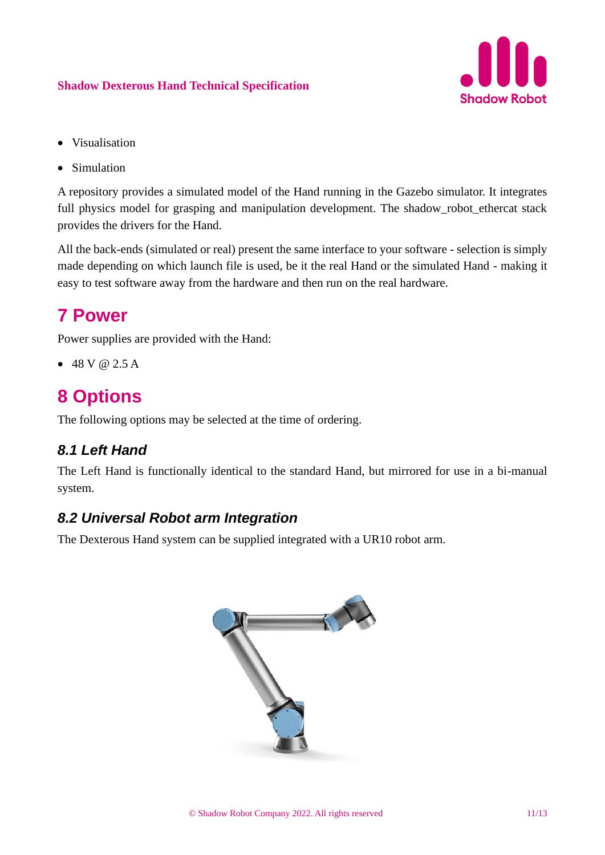

- Visualisation
- Simulation

A repository provides a simulated model of the Hand running in the Gazebo simulator. It integrates full physics model for grasping and manipulation development. The shadow\_robot\_ethercat stack provides the drivers for the Hand.

All the back-ends (simulated or real) present the same interface to your software - selection is simply made depending on which launch file is used, be it the real Hand or the simulated Hand - making it easy to test software away from the hardware and then run on the real hardware.

### **7 Power**

Power supplies are provided with the Hand:

 $• 48 V @ 2.5 A$ 

## **8 Options**

The following options may be selected at the time of ordering.

#### *8.1 Left Hand*

The Left Hand is functionally identical to the standard Hand, but mirrored for use in a bi-manual system.

#### *8.2 Universal Robot arm Integration*

The Dexterous Hand system can be supplied integrated with a UR10 robot arm.

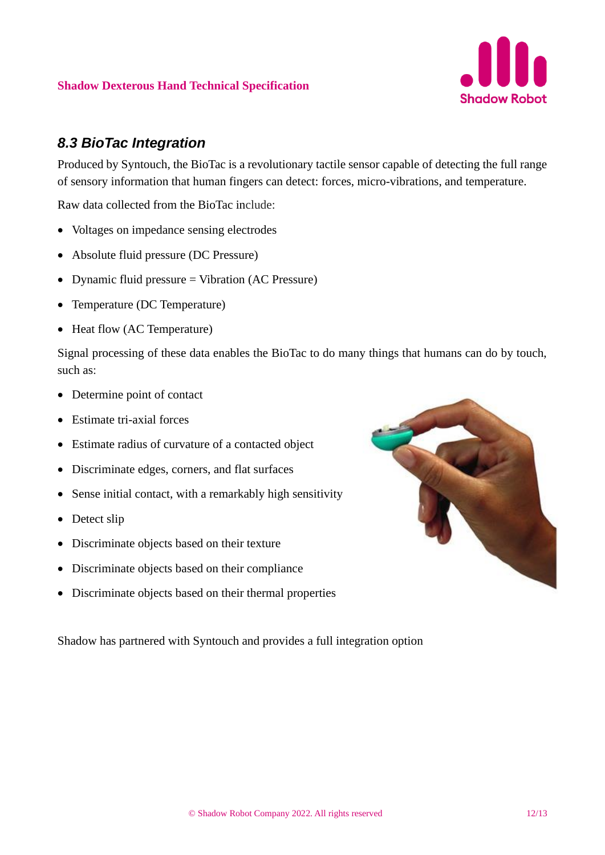

#### *8.3 BioTac Integration*

Produced by Syntouch, the BioTac is a revolutionary tactile sensor capable of detecting the full range of sensory information that human fingers can detect: forces, micro-vibrations, and temperature.

Raw data collected from the BioTac include:

- Voltages on impedance sensing electrodes
- Absolute fluid pressure (DC Pressure)
- Dynamic fluid pressure = Vibration (AC Pressure)
- Temperature (DC Temperature)
- Heat flow (AC Temperature)

Signal processing of these data enables the BioTac to do many things that humans can do by touch, such as:

- Determine point of contact
- Estimate tri-axial forces
- Estimate radius of curvature of a contacted object
- Discriminate edges, corners, and flat surfaces
- Sense initial contact, with a remarkably high sensitivity
- Detect slip
- Discriminate objects based on their texture
- Discriminate objects based on their compliance
- Discriminate objects based on their thermal properties

Shadow has partnered with Syntouch and provides a full integration option